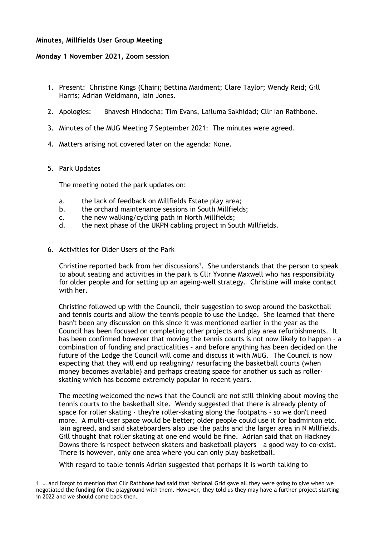## **Minutes, Millfields User Group Meeting**

## **Monday 1 November 2021, Zoom session**

- 1. Present: Christine Kings (Chair); Bettina Maidment; Clare Taylor; Wendy Reid; Gill Harris; Adrian Weidmann, Iain Jones.
- 2. Apologies: Bhavesh Hindocha; Tim Evans, Lailuma Sakhidad; Cllr Ian Rathbone.
- 3. Minutes of the MUG Meeting 7 September 2021: The minutes were agreed.
- 4. Matters arising not covered later on the agenda: None.
- 5. Park Updates

The meeting noted the park updates on:

- a. the lack of feedback on Millfields Estate play area;
- b. the orchard maintenance sessions in South Millfields;
- c. the new walking/cycling path in North Millfields;
- d. the next phase of the UKPN cabling project in South Millfields.
- 6. Activities for Older Users of the Park

Christine reported back from her discussions<sup>[1](#page-0-0)</sup>. She understands that the person to speak to about seating and activities in the park is Cllr Yvonne Maxwell who has responsibility for older people and for setting up an ageing-well strategy. Christine will make contact with her.

Christine followed up with the Council, their suggestion to swop around the basketball and tennis courts and allow the tennis people to use the Lodge. She learned that there hasn't been any discussion on this since it was mentioned earlier in the year as the Council has been focused on completing other projects and play area refurbishments. It has been confirmed however that moving the tennis courts is not now likely to happen – a combination of funding and practicalities – and before anything has been decided on the future of the Lodge the Council will come and discuss it with MUG. The Council is now expecting that they will end up realigning/ resurfacing the basketball courts (when money becomes available) and perhaps creating space for another us such as rollerskating which has become extremely popular in recent years.

The meeting welcomed the news that the Council are not still thinking about moving the tennis courts to the basketball site. Wendy suggested that there is already plenty of space for roller skating - they're roller-skating along the footpaths - so we don't need more. A multi-user space would be better; older people could use it for badminton etc. Iain agreed, and said skateboarders also use the paths and the larger area in N Millfields. Gill thought that roller skating at one end would be fine. Adrian said that on Hackney Downs there is respect between skaters and basketball players – a good way to co-exist. There is however, only one area where you can only play basketball.

With regard to table tennis Adrian suggested that perhaps it is worth talking to

<span id="page-0-0"></span><sup>1 …</sup> and forgot to mention that Cllr Rathbone had said that National Grid gave all they were going to give when we negotiated the funding for the playground with them. However, they told us they may have a further project starting in 2022 and we should come back then.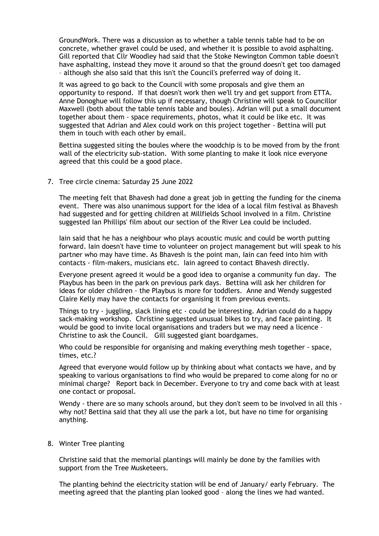GroundWork. There was a discussion as to whether a table tennis table had to be on concrete, whether gravel could be used, and whether it is possible to avoid asphalting. Gill reported that Cllr Woodley had said that the Stoke Newington Common table doesn't have asphalting, instead they move it around so that the ground doesn't get too damaged – although she also said that this isn't the Council's preferred way of doing it.

It was agreed to go back to the Council with some proposals and give them an opportunity to respond. If that doesn't work then we'll try and get support from ETTA. Anne Donoghue will follow this up if necessary, though Christine will speak to Councillor Maxwell (both about the table tennis table and boules). Adrian will put a small document together about them - space requirements, photos, what it could be like etc. It was suggested that Adrian and Alex could work on this project together - Bettina will put them in touch with each other by email.

Bettina suggested siting the boules where the woodchip is to be moved from by the front wall of the electricity sub-station. With some planting to make it look nice everyone agreed that this could be a good place.

7. Tree circle cinema: Saturday 25 June 2022

The meeting felt that Bhavesh had done a great job in getting the funding for the cinema event. There was also unanimous support for the idea of a local film festival as Bhavesh had suggested and for getting children at Millfields School involved in a film. Christine suggested Ian Phillips' film about our section of the River Lea could be included.

Iain said that he has a neighbour who plays acoustic music and could be worth putting forward. Iain doesn't have time to volunteer on project management but will speak to his partner who may have time. As Bhavesh is the point man, Iain can feed into him with contacts - film-makers, musicians etc. Iain agreed to contact Bhavesh directly.

Everyone present agreed it would be a good idea to organise a community fun day. The Playbus has been in the park on previous park days. Bettina will ask her children for ideas for older children - the Playbus is more for toddlers. Anne and Wendy suggested Claire Kelly may have the contacts for organising it from previous events.

Things to try - juggling, slack lining etc - could be interesting. Adrian could do a happy sack-making workshop. Christine suggested unusual bikes to try, and face painting. It would be good to invite local organisations and traders but we may need a licence – Christine to ask the Council. Gill suggested giant boardgames.

Who could be responsible for organising and making everything mesh together - space, times, etc.?

Agreed that everyone would follow up by thinking about what contacts we have, and by speaking to various organisations to find who would be prepared to come along for no or minimal charge? Report back in December. Everyone to try and come back with at least one contact or proposal.

Wendy - there are so many schools around, but they don't seem to be involved in all this why not? Bettina said that they all use the park a lot, but have no time for organising anything.

8. Winter Tree planting

Christine said that the memorial plantings will mainly be done by the families with support from the Tree Musketeers.

The planting behind the electricity station will be end of January/ early February. The meeting agreed that the planting plan looked good – along the lines we had wanted.